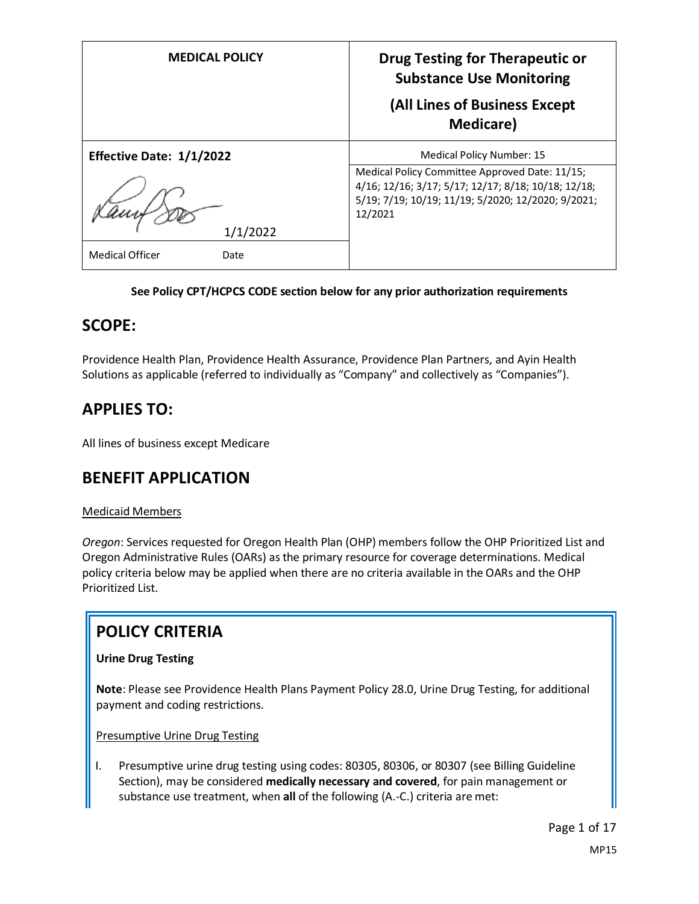| <b>MEDICAL POLICY</b>          | <b>Drug Testing for Therapeutic or</b><br><b>Substance Use Monitoring</b><br>(All Lines of Business Except                                                             |  |  |
|--------------------------------|------------------------------------------------------------------------------------------------------------------------------------------------------------------------|--|--|
|                                | <b>Medicare</b> )                                                                                                                                                      |  |  |
| Effective Date: 1/1/2022       | Medical Policy Number: 15                                                                                                                                              |  |  |
|                                | Medical Policy Committee Approved Date: 11/15;<br>4/16; 12/16; 3/17; 5/17; 12/17; 8/18; 10/18; 12/18;<br>5/19; 7/19; 10/19; 11/19; 5/2020; 12/2020; 9/2021;<br>12/2021 |  |  |
| 1/1/2022                       |                                                                                                                                                                        |  |  |
| <b>Medical Officer</b><br>Date |                                                                                                                                                                        |  |  |

## **See Policy CPT/HCPCS CODE section below for any prior authorization requirements**

## **SCOPE:**

Providence Health Plan, Providence Health Assurance, Providence Plan Partners, and Ayin Health Solutions as applicable (referred to individually as "Company" and collectively as "Companies").

# **APPLIES TO:**

All lines of business except Medicare

## **BENEFIT APPLICATION**

## Medicaid Members

*Oregon*: Services requested for Oregon Health Plan (OHP) members follow the OHP Prioritized List and Oregon Administrative Rules (OARs) as the primary resource for coverage determinations. Medical policy criteria below may be applied when there are no criteria available in the OARs and the OHP Prioritized List.

# **POLICY CRITERIA**

## **Urine Drug Testing**

**Note**: Please see Providence Health Plans Payment Policy 28.0, Urine Drug Testing, for additional payment and coding restrictions.

Presumptive Urine Drug Testing

I. Presumptive urine drug testing using codes: 80305, 80306, or 80307 (see Billing Guideline Section), may be considered **medically necessary and covered**, for pain management or substance use treatment, when **all** of the following (A.-C.) criteria are met: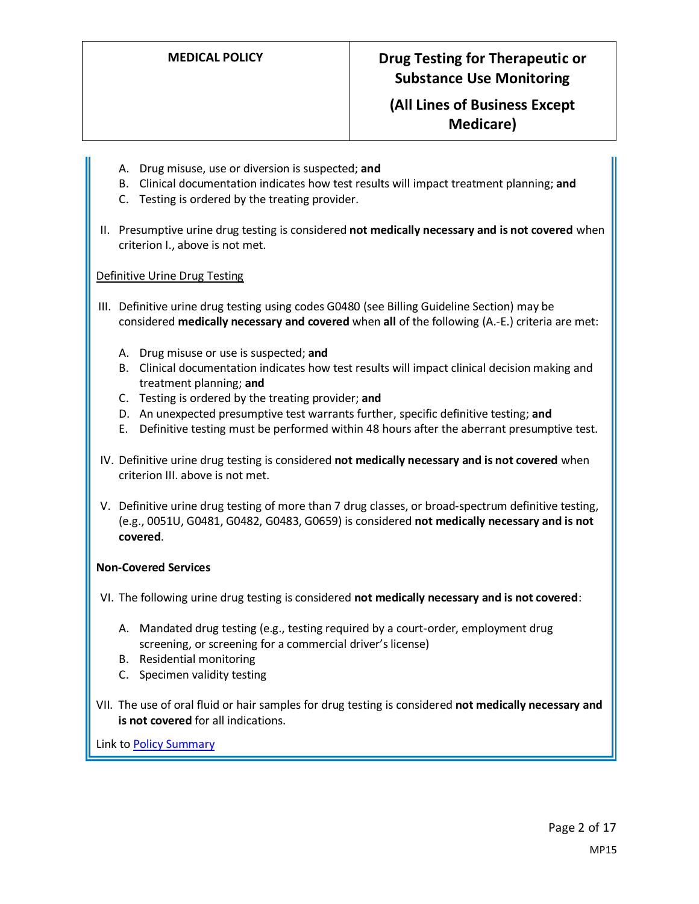## **(All Lines of Business Except Medicare)**

- A. Drug misuse, use or diversion is suspected; **and**
- B. Clinical documentation indicates how test results will impact treatment planning; **and**
- C. Testing is ordered by the treating provider.
- II. Presumptive urine drug testing is considered **not medically necessary and is not covered** when criterion I., above is not met.

#### Definitive Urine Drug Testing

- III. Definitive urine drug testing using codes G0480 (see Billing Guideline Section) may be considered **medically necessary and covered** when **all** of the following (A.-E.) criteria are met:
	- A. Drug misuse or use is suspected; **and**
	- B. Clinical documentation indicates how test results will impact clinical decision making and treatment planning; **and**
	- C. Testing is ordered by the treating provider; **and**
	- D. An unexpected presumptive test warrants further, specific definitive testing; **and**
	- E. Definitive testing must be performed within 48 hours after the aberrant presumptive test.
- IV. Definitive urine drug testing is considered **not medically necessary and is not covered** when criterion III. above is not met.
- V. Definitive urine drug testing of more than 7 drug classes, or broad-spectrum definitive testing, (e.g., 0051U, G0481, G0482, G0483, G0659) is considered **not medically necessary and is not covered**.

#### **Non-Covered Services**

VI. The following urine drug testing is considered **not medically necessary and is not covered**:

- A. Mandated drug testing (e.g., testing required by a court-order, employment drug screening, or screening for a commercial driver's license)
- B. Residential monitoring
- C. Specimen validity testing
- VII. The use of oral fluid or hair samples for drug testing is considered **not medically necessary and is not covered** for all indications.

Link t[o Policy Summary](#page-13-0)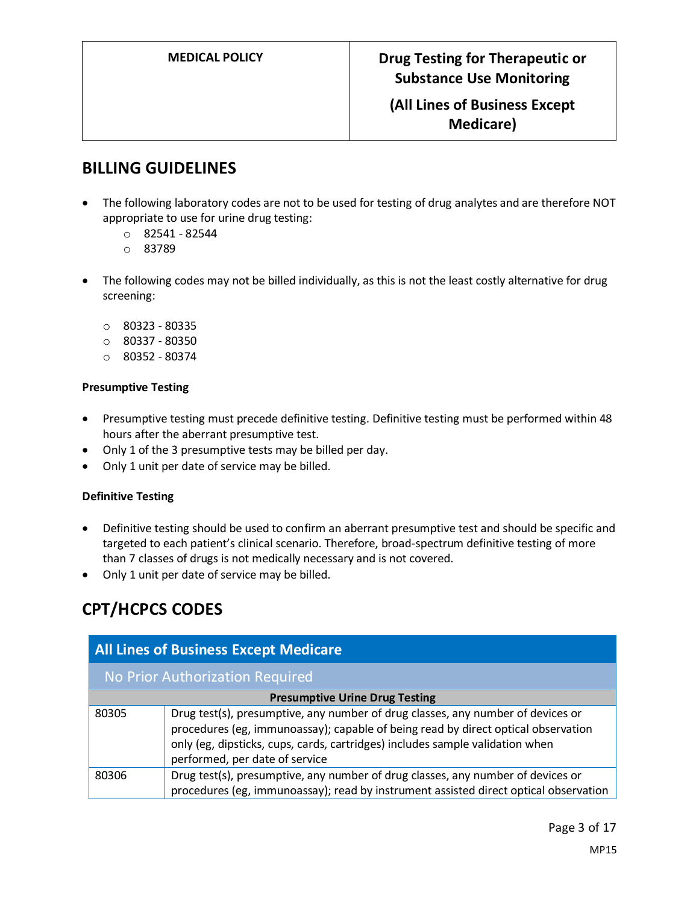## **(All Lines of Business Except Medicare)**

## **BILLING GUIDELINES**

- The following laboratory codes are not to be used for testing of drug analytes and are therefore NOT appropriate to use for urine drug testing:
	- $0$  82541 82544
	- o 83789
- The following codes may not be billed individually, as this is not the least costly alternative for drug screening:
	- o 80323 80335
	- $O$  80337 80350
	- o 80352 80374

#### **Presumptive Testing**

- Presumptive testing must precede definitive testing. Definitive testing must be performed within 48 hours after the aberrant presumptive test.
- Only 1 of the 3 presumptive tests may be billed per day.
- Only 1 unit per date of service may be billed.

#### **Definitive Testing**

- Definitive testing should be used to confirm an aberrant presumptive test and should be specific and targeted to each patient's clinical scenario. Therefore, broad-spectrum definitive testing of more than 7 classes of drugs is not medically necessary and is not covered.
- Only 1 unit per date of service may be billed.

## **CPT/HCPCS CODES**

| <b>All Lines of Business Except Medicare</b> |                                                                                                                                                                                                                                                                                         |  |
|----------------------------------------------|-----------------------------------------------------------------------------------------------------------------------------------------------------------------------------------------------------------------------------------------------------------------------------------------|--|
| No Prior Authorization Required              |                                                                                                                                                                                                                                                                                         |  |
| <b>Presumptive Urine Drug Testing</b>        |                                                                                                                                                                                                                                                                                         |  |
| 80305                                        | Drug test(s), presumptive, any number of drug classes, any number of devices or<br>procedures (eg, immunoassay); capable of being read by direct optical observation<br>only (eg, dipsticks, cups, cards, cartridges) includes sample validation when<br>performed, per date of service |  |
| 80306                                        | Drug test(s), presumptive, any number of drug classes, any number of devices or<br>procedures (eg, immunoassay); read by instrument assisted direct optical observation                                                                                                                 |  |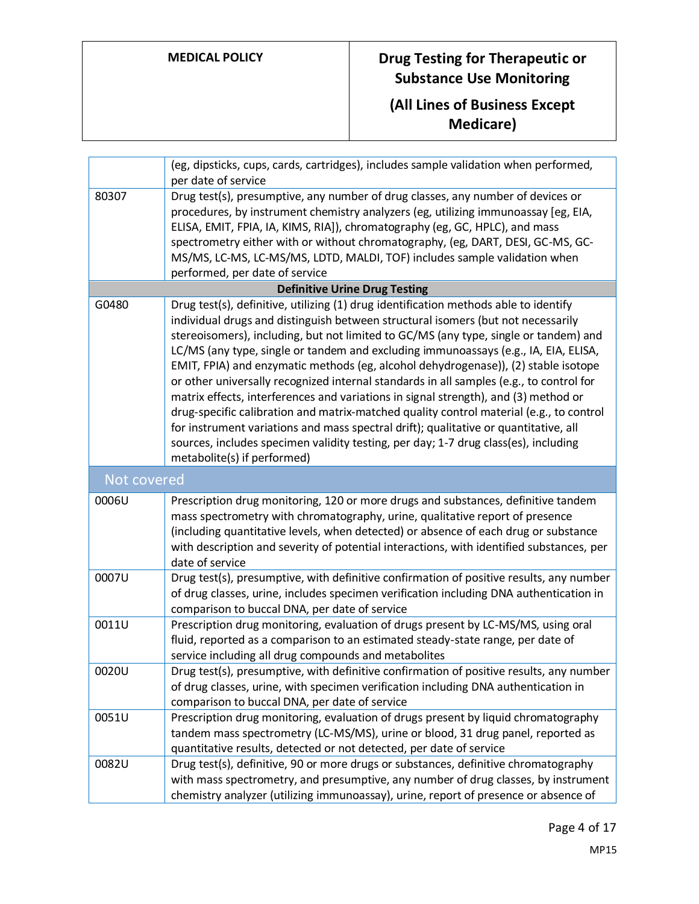# **(All Lines of Business Except Medicare)**

|             | (eg, dipsticks, cups, cards, cartridges), includes sample validation when performed,<br>per date of service                                                                                                                                                                                                                                                                                                                                                                                                                                                                                                                                                                                                                                                                                                                                                                                                                              |
|-------------|------------------------------------------------------------------------------------------------------------------------------------------------------------------------------------------------------------------------------------------------------------------------------------------------------------------------------------------------------------------------------------------------------------------------------------------------------------------------------------------------------------------------------------------------------------------------------------------------------------------------------------------------------------------------------------------------------------------------------------------------------------------------------------------------------------------------------------------------------------------------------------------------------------------------------------------|
| 80307       | Drug test(s), presumptive, any number of drug classes, any number of devices or<br>procedures, by instrument chemistry analyzers (eg, utilizing immunoassay [eg, EIA,<br>ELISA, EMIT, FPIA, IA, KIMS, RIA]), chromatography (eg, GC, HPLC), and mass<br>spectrometry either with or without chromatography, (eg, DART, DESI, GC-MS, GC-<br>MS/MS, LC-MS, LC-MS/MS, LDTD, MALDI, TOF) includes sample validation when<br>performed, per date of service                                                                                                                                                                                                                                                                                                                                                                                                                                                                                   |
|             | <b>Definitive Urine Drug Testing</b>                                                                                                                                                                                                                                                                                                                                                                                                                                                                                                                                                                                                                                                                                                                                                                                                                                                                                                     |
| G0480       | Drug test(s), definitive, utilizing (1) drug identification methods able to identify<br>individual drugs and distinguish between structural isomers (but not necessarily<br>stereoisomers), including, but not limited to GC/MS (any type, single or tandem) and<br>LC/MS (any type, single or tandem and excluding immunoassays (e.g., IA, EIA, ELISA,<br>EMIT, FPIA) and enzymatic methods (eg, alcohol dehydrogenase)), (2) stable isotope<br>or other universally recognized internal standards in all samples (e.g., to control for<br>matrix effects, interferences and variations in signal strength), and (3) method or<br>drug-specific calibration and matrix-matched quality control material (e.g., to control<br>for instrument variations and mass spectral drift); qualitative or quantitative, all<br>sources, includes specimen validity testing, per day; 1-7 drug class(es), including<br>metabolite(s) if performed) |
| Not covered |                                                                                                                                                                                                                                                                                                                                                                                                                                                                                                                                                                                                                                                                                                                                                                                                                                                                                                                                          |
| 0006U       | Prescription drug monitoring, 120 or more drugs and substances, definitive tandem<br>mass spectrometry with chromatography, urine, qualitative report of presence<br>(including quantitative levels, when detected) or absence of each drug or substance<br>with description and severity of potential interactions, with identified substances, per<br>date of service                                                                                                                                                                                                                                                                                                                                                                                                                                                                                                                                                                  |
| 0007U       | Drug test(s), presumptive, with definitive confirmation of positive results, any number<br>of drug classes, urine, includes specimen verification including DNA authentication in<br>comparison to buccal DNA, per date of service                                                                                                                                                                                                                                                                                                                                                                                                                                                                                                                                                                                                                                                                                                       |
| 0011U       | Prescription drug monitoring, evaluation of drugs present by LC-MS/MS, using oral<br>fluid, reported as a comparison to an estimated steady-state range, per date of<br>service including all drug compounds and metabolites                                                                                                                                                                                                                                                                                                                                                                                                                                                                                                                                                                                                                                                                                                             |
| 0020U       | Drug test(s), presumptive, with definitive confirmation of positive results, any number<br>of drug classes, urine, with specimen verification including DNA authentication in<br>comparison to buccal DNA, per date of service                                                                                                                                                                                                                                                                                                                                                                                                                                                                                                                                                                                                                                                                                                           |
| 0051U       | Prescription drug monitoring, evaluation of drugs present by liquid chromatography<br>tandem mass spectrometry (LC-MS/MS), urine or blood, 31 drug panel, reported as<br>quantitative results, detected or not detected, per date of service                                                                                                                                                                                                                                                                                                                                                                                                                                                                                                                                                                                                                                                                                             |
| 0082U       | Drug test(s), definitive, 90 or more drugs or substances, definitive chromatography<br>with mass spectrometry, and presumptive, any number of drug classes, by instrument<br>chemistry analyzer (utilizing immunoassay), urine, report of presence or absence of                                                                                                                                                                                                                                                                                                                                                                                                                                                                                                                                                                                                                                                                         |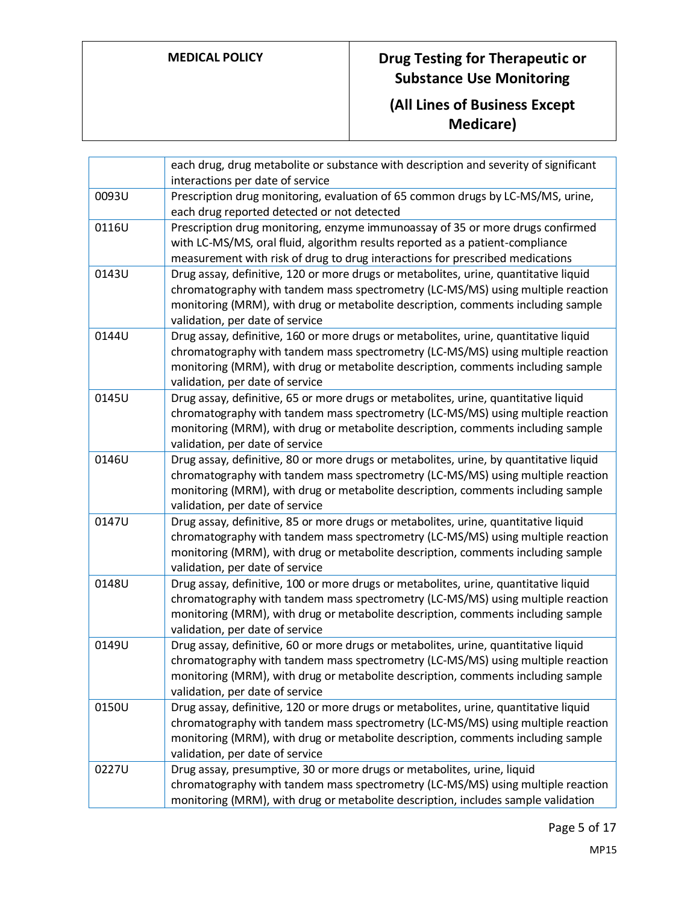# **(All Lines of Business Except Medicare)**

|       | each drug, drug metabolite or substance with description and severity of significant<br>interactions per date of service                                                                                                                                                                         |
|-------|--------------------------------------------------------------------------------------------------------------------------------------------------------------------------------------------------------------------------------------------------------------------------------------------------|
| 0093U | Prescription drug monitoring, evaluation of 65 common drugs by LC-MS/MS, urine,<br>each drug reported detected or not detected                                                                                                                                                                   |
| 0116U | Prescription drug monitoring, enzyme immunoassay of 35 or more drugs confirmed<br>with LC-MS/MS, oral fluid, algorithm results reported as a patient-compliance<br>measurement with risk of drug to drug interactions for prescribed medications                                                 |
| 0143U | Drug assay, definitive, 120 or more drugs or metabolites, urine, quantitative liquid<br>chromatography with tandem mass spectrometry (LC-MS/MS) using multiple reaction<br>monitoring (MRM), with drug or metabolite description, comments including sample<br>validation, per date of service   |
| 0144U | Drug assay, definitive, 160 or more drugs or metabolites, urine, quantitative liquid<br>chromatography with tandem mass spectrometry (LC-MS/MS) using multiple reaction<br>monitoring (MRM), with drug or metabolite description, comments including sample<br>validation, per date of service   |
| 0145U | Drug assay, definitive, 65 or more drugs or metabolites, urine, quantitative liquid<br>chromatography with tandem mass spectrometry (LC-MS/MS) using multiple reaction<br>monitoring (MRM), with drug or metabolite description, comments including sample<br>validation, per date of service    |
| 0146U | Drug assay, definitive, 80 or more drugs or metabolites, urine, by quantitative liquid<br>chromatography with tandem mass spectrometry (LC-MS/MS) using multiple reaction<br>monitoring (MRM), with drug or metabolite description, comments including sample<br>validation, per date of service |
| 0147U | Drug assay, definitive, 85 or more drugs or metabolites, urine, quantitative liquid<br>chromatography with tandem mass spectrometry (LC-MS/MS) using multiple reaction<br>monitoring (MRM), with drug or metabolite description, comments including sample<br>validation, per date of service    |
| 0148U | Drug assay, definitive, 100 or more drugs or metabolites, urine, quantitative liquid<br>chromatography with tandem mass spectrometry (LC-MS/MS) using multiple reaction<br>monitoring (MRM), with drug or metabolite description, comments including sample<br>validation, per date of service   |
| 0149U | Drug assay, definitive, 60 or more drugs or metabolites, urine, quantitative liquid<br>chromatography with tandem mass spectrometry (LC-MS/MS) using multiple reaction<br>monitoring (MRM), with drug or metabolite description, comments including sample<br>validation, per date of service    |
| 0150U | Drug assay, definitive, 120 or more drugs or metabolites, urine, quantitative liquid<br>chromatography with tandem mass spectrometry (LC-MS/MS) using multiple reaction<br>monitoring (MRM), with drug or metabolite description, comments including sample<br>validation, per date of service   |
| 0227U | Drug assay, presumptive, 30 or more drugs or metabolites, urine, liquid<br>chromatography with tandem mass spectrometry (LC-MS/MS) using multiple reaction<br>monitoring (MRM), with drug or metabolite description, includes sample validation                                                  |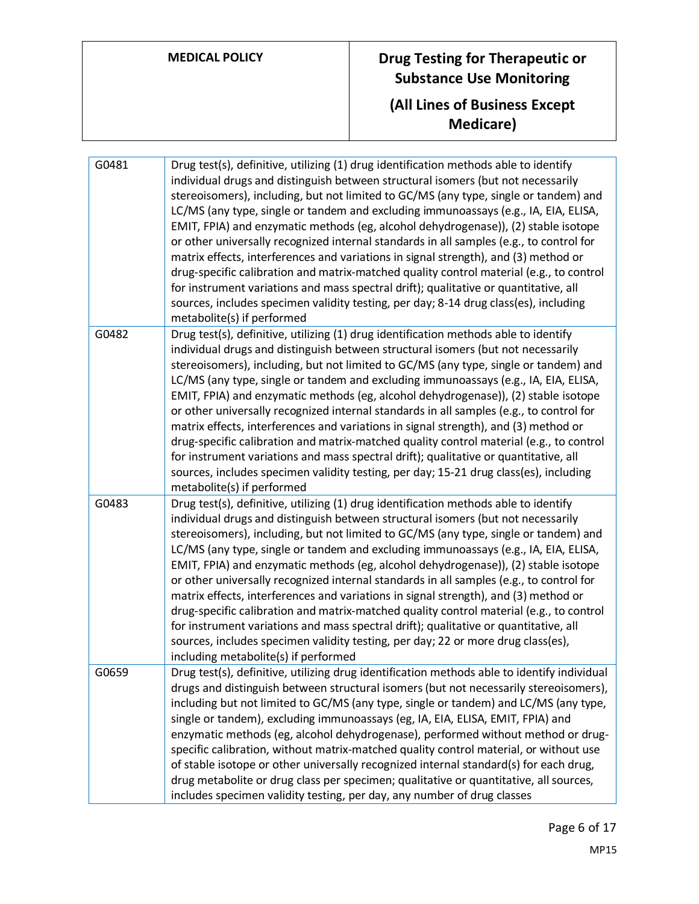# **MEDICAL POLICY Drug Testing for Therapeutic or Substance Use Monitoring (All Lines of Business Except Medicare)**

| G0481 | Drug test(s), definitive, utilizing (1) drug identification methods able to identify<br>individual drugs and distinguish between structural isomers (but not necessarily<br>stereoisomers), including, but not limited to GC/MS (any type, single or tandem) and<br>LC/MS (any type, single or tandem and excluding immunoassays (e.g., IA, EIA, ELISA,<br>EMIT, FPIA) and enzymatic methods (eg, alcohol dehydrogenase)), (2) stable isotope<br>or other universally recognized internal standards in all samples (e.g., to control for<br>matrix effects, interferences and variations in signal strength), and (3) method or<br>drug-specific calibration and matrix-matched quality control material (e.g., to control<br>for instrument variations and mass spectral drift); qualitative or quantitative, all<br>sources, includes specimen validity testing, per day; 8-14 drug class(es), including<br>metabolite(s) if performed       |
|-------|------------------------------------------------------------------------------------------------------------------------------------------------------------------------------------------------------------------------------------------------------------------------------------------------------------------------------------------------------------------------------------------------------------------------------------------------------------------------------------------------------------------------------------------------------------------------------------------------------------------------------------------------------------------------------------------------------------------------------------------------------------------------------------------------------------------------------------------------------------------------------------------------------------------------------------------------|
| G0482 | Drug test(s), definitive, utilizing (1) drug identification methods able to identify<br>individual drugs and distinguish between structural isomers (but not necessarily<br>stereoisomers), including, but not limited to GC/MS (any type, single or tandem) and<br>LC/MS (any type, single or tandem and excluding immunoassays (e.g., IA, EIA, ELISA,<br>EMIT, FPIA) and enzymatic methods (eg, alcohol dehydrogenase)), (2) stable isotope<br>or other universally recognized internal standards in all samples (e.g., to control for<br>matrix effects, interferences and variations in signal strength), and (3) method or<br>drug-specific calibration and matrix-matched quality control material (e.g., to control<br>for instrument variations and mass spectral drift); qualitative or quantitative, all<br>sources, includes specimen validity testing, per day; 15-21 drug class(es), including<br>metabolite(s) if performed      |
| G0483 | Drug test(s), definitive, utilizing (1) drug identification methods able to identify<br>individual drugs and distinguish between structural isomers (but not necessarily<br>stereoisomers), including, but not limited to GC/MS (any type, single or tandem) and<br>LC/MS (any type, single or tandem and excluding immunoassays (e.g., IA, EIA, ELISA,<br>EMIT, FPIA) and enzymatic methods (eg, alcohol dehydrogenase)), (2) stable isotope<br>or other universally recognized internal standards in all samples (e.g., to control for<br>matrix effects, interferences and variations in signal strength), and (3) method or<br>drug-specific calibration and matrix-matched quality control material (e.g., to control<br>for instrument variations and mass spectral drift); qualitative or quantitative, all<br>sources, includes specimen validity testing, per day; 22 or more drug class(es),<br>including metabolite(s) if performed |
| G0659 | Drug test(s), definitive, utilizing drug identification methods able to identify individual<br>drugs and distinguish between structural isomers (but not necessarily stereoisomers),<br>including but not limited to GC/MS (any type, single or tandem) and LC/MS (any type,<br>single or tandem), excluding immunoassays (eg, IA, EIA, ELISA, EMIT, FPIA) and<br>enzymatic methods (eg, alcohol dehydrogenase), performed without method or drug-<br>specific calibration, without matrix-matched quality control material, or without use<br>of stable isotope or other universally recognized internal standard(s) for each drug,<br>drug metabolite or drug class per specimen; qualitative or quantitative, all sources,<br>includes specimen validity testing, per day, any number of drug classes                                                                                                                                       |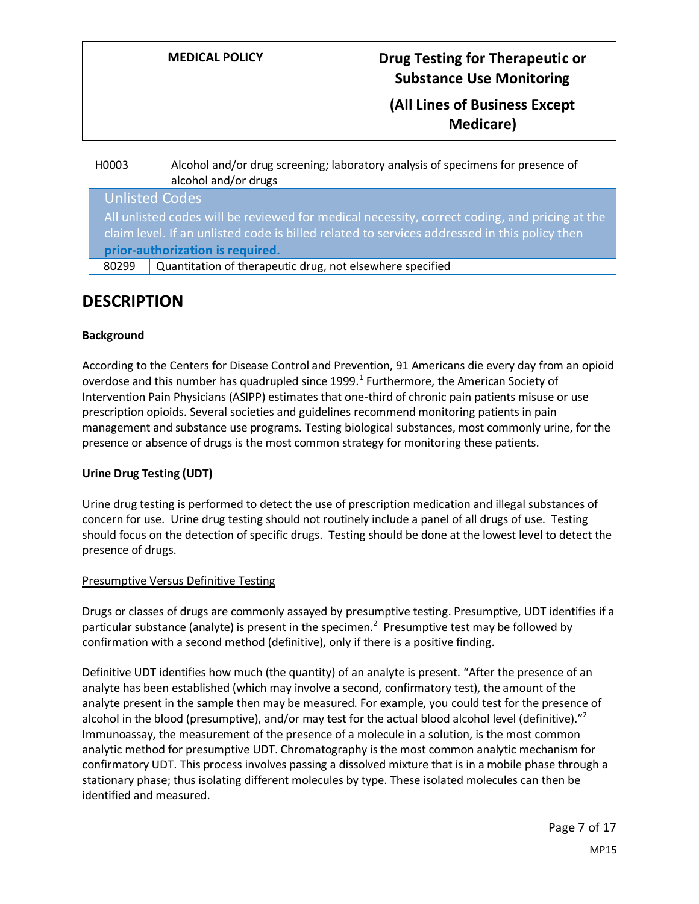## **(All Lines of Business Except Medicare)**

| H0003                                                                                                                                                                                                                             | Alcohol and/or drug screening; laboratory analysis of specimens for presence of<br>alcohol and/or drugs |  |
|-----------------------------------------------------------------------------------------------------------------------------------------------------------------------------------------------------------------------------------|---------------------------------------------------------------------------------------------------------|--|
| <b>Unlisted Codes</b>                                                                                                                                                                                                             |                                                                                                         |  |
| All unlisted codes will be reviewed for medical necessity, correct coding, and pricing at the<br>claim level. If an unlisted code is billed related to services addressed in this policy then<br>prior-authorization is required. |                                                                                                         |  |
| 80299                                                                                                                                                                                                                             | Quantitation of therapeutic drug, not elsewhere specified                                               |  |
|                                                                                                                                                                                                                                   |                                                                                                         |  |

## **DESCRIPTION**

## **Background**

According to the Centers for Disease Control and Prevention, 91 Americans die every day from an opioid overdose and this number has quadrupled since 1999. $^1$  Furthermore, the American Society of Intervention Pain Physicians (ASIPP) estimates that one-third of chronic pain patients misuse or use prescription opioids. Several societies and guidelines recommend monitoring patients in pain management and substance use programs. Testing biological substances, most commonly urine, for the presence or absence of drugs is the most common strategy for monitoring these patients.

## **Urine Drug Testing (UDT)**

Urine drug testing is performed to detect the use of prescription medication and illegal substances of concern for use. Urine drug testing should not routinely include a panel of all drugs of use. Testing should focus on the detection of specific drugs. Testing should be done at the lowest level to detect the presence of drugs.

#### Presumptive Versus Definitive Testing

Drugs or classes of drugs are commonly assayed by presumptive testing. Presumptive, UDT identifies if a particular substance (analyte) is present in the specimen.<sup>2</sup> Presumptive test may be followed by confirmation with a second method (definitive), only if there is a positive finding.

Definitive UDT identifies how much (the quantity) of an analyte is present. "After the presence of an analyte has been established (which may involve a second, confirmatory test), the amount of the analyte present in the sample then may be measured. For example, you could test for the presence of alcohol in the blood (presumptive), and/or may test for the actual blood alcohol level (definitive)."<sup>2</sup> Immunoassay, the measurement of the presence of a molecule in a solution, is the most common analytic method for presumptive UDT. Chromatography is the most common analytic mechanism for confirmatory UDT. This process involves passing a dissolved mixture that is in a mobile phase through a stationary phase; thus isolating different molecules by type. These isolated molecules can then be identified and measured.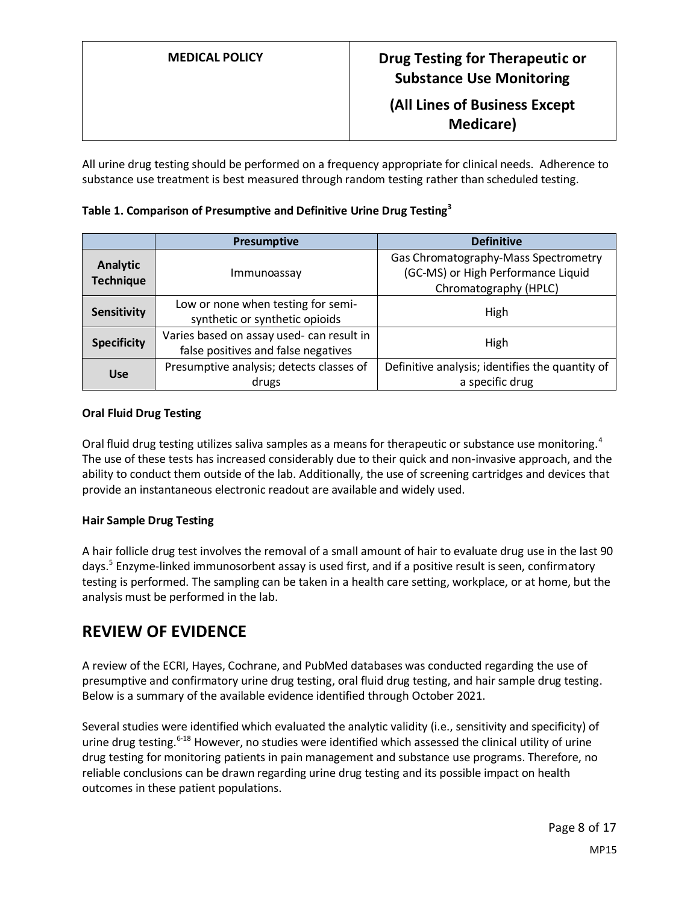| <b>MEDICAL POLICY</b> | Drug Testing for Therapeutic or<br><b>Substance Use Monitoring</b> |
|-----------------------|--------------------------------------------------------------------|
|                       | (All Lines of Business Except<br>Medicare)                         |

All urine drug testing should be performed on a frequency appropriate for clinical needs. Adherence to substance use treatment is best measured through random testing rather than scheduled testing.

| Table 1. Comparison of Presumptive and Definitive Urine Drug Testing <sup>3</sup> |  |  |  |  |
|-----------------------------------------------------------------------------------|--|--|--|--|
|-----------------------------------------------------------------------------------|--|--|--|--|

|                              | <b>Presumptive</b>                                                               | <b>Definitive</b>                                                                                   |
|------------------------------|----------------------------------------------------------------------------------|-----------------------------------------------------------------------------------------------------|
| Analytic<br><b>Technique</b> | Immunoassay                                                                      | Gas Chromatography-Mass Spectrometry<br>(GC-MS) or High Performance Liquid<br>Chromatography (HPLC) |
| Sensitivity                  | Low or none when testing for semi-<br>synthetic or synthetic opioids             | High                                                                                                |
| <b>Specificity</b>           | Varies based on assay used- can result in<br>false positives and false negatives | High                                                                                                |
| <b>Use</b>                   | Presumptive analysis; detects classes of<br>drugs                                | Definitive analysis; identifies the quantity of<br>a specific drug                                  |

## **Oral Fluid Drug Testing**

Oral fluid drug testing utilizes saliva samples as a means for therapeutic or substance use monitoring.<sup>4</sup> The use of these tests has increased considerably due to their quick and non-invasive approach, and the ability to conduct them outside of the lab. Additionally, the use of screening cartridges and devices that provide an instantaneous electronic readout are available and widely used.

## **Hair Sample Drug Testing**

A hair follicle drug test involves the removal of a small amount of hair to evaluate drug use in the last 90 days.<sup>5</sup> Enzyme-linked immunosorbent assay is used first, and if a positive result is seen, confirmatory testing is performed. The sampling can be taken in a health care setting, workplace, or at home, but the analysis must be performed in the lab.

## **REVIEW OF EVIDENCE**

A review of the ECRI, Hayes, Cochrane, and PubMed databases was conducted regarding the use of presumptive and confirmatory urine drug testing, oral fluid drug testing, and hair sample drug testing. Below is a summary of the available evidence identified through October 2021.

Several studies were identified which evaluated the analytic validity (i.e., sensitivity and specificity) of urine drug testing.<sup>6-18</sup> However, no studies were identified which assessed the clinical utility of urine drug testing for monitoring patients in pain management and substance use programs. Therefore, no reliable conclusions can be drawn regarding urine drug testing and its possible impact on health outcomes in these patient populations.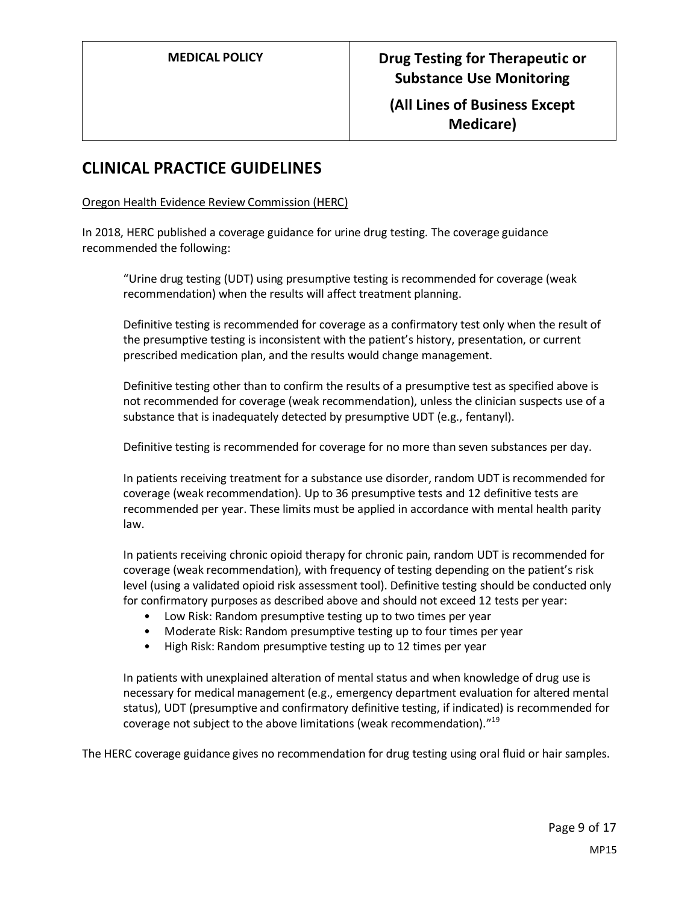## **CLINICAL PRACTICE GUIDELINES**

Oregon Health Evidence Review Commission (HERC)

In 2018, HERC published a coverage guidance for urine drug testing. The coverage guidance recommended the following:

"Urine drug testing (UDT) using presumptive testing is recommended for coverage (weak recommendation) when the results will affect treatment planning.

Definitive testing is recommended for coverage as a confirmatory test only when the result of the presumptive testing is inconsistent with the patient's history, presentation, or current prescribed medication plan, and the results would change management.

Definitive testing other than to confirm the results of a presumptive test as specified above is not recommended for coverage (weak recommendation), unless the clinician suspects use of a substance that is inadequately detected by presumptive UDT (e.g., fentanyl).

Definitive testing is recommended for coverage for no more than seven substances per day.

In patients receiving treatment for a substance use disorder, random UDT is recommended for coverage (weak recommendation). Up to 36 presumptive tests and 12 definitive tests are recommended per year. These limits must be applied in accordance with mental health parity law.

In patients receiving chronic opioid therapy for chronic pain, random UDT is recommended for coverage (weak recommendation), with frequency of testing depending on the patient's risk level (using a validated opioid risk assessment tool). Definitive testing should be conducted only for confirmatory purposes as described above and should not exceed 12 tests per year:

- Low Risk: Random presumptive testing up to two times per year
- Moderate Risk: Random presumptive testing up to four times per year
- High Risk: Random presumptive testing up to 12 times per year

In patients with unexplained alteration of mental status and when knowledge of drug use is necessary for medical management (e.g., emergency department evaluation for altered mental status), UDT (presumptive and confirmatory definitive testing, if indicated) is recommended for coverage not subject to the above limitations (weak recommendation)."<sup>19</sup>

The HERC coverage guidance gives no recommendation for drug testing using oral fluid or hair samples.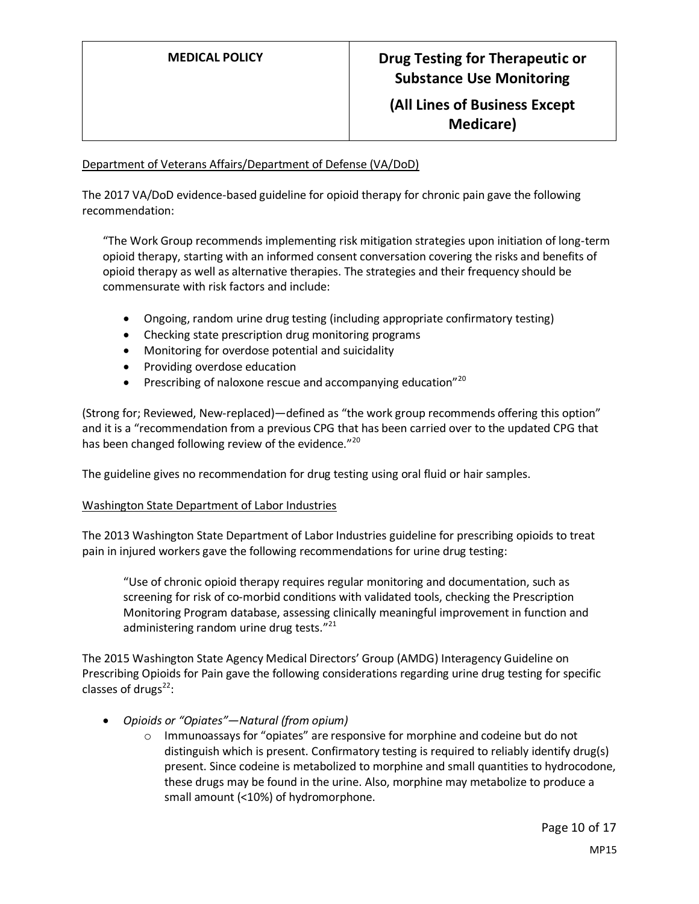## Department of Veterans Affairs/Department of Defense (VA/DoD)

The 2017 VA/DoD evidence-based guideline for opioid therapy for chronic pain gave the following recommendation:

"The Work Group recommends implementing risk mitigation strategies upon initiation of long-term opioid therapy, starting with an informed consent conversation covering the risks and benefits of opioid therapy as well as alternative therapies. The strategies and their frequency should be commensurate with risk factors and include:

- Ongoing, random urine drug testing (including appropriate confirmatory testing)
- Checking state prescription drug monitoring programs
- Monitoring for overdose potential and suicidality
- Providing overdose education
- Prescribing of naloxone rescue and accompanying education $n^{20}$

(Strong for; Reviewed, New-replaced)—defined as "the work group recommends offering this option" and it is a "recommendation from a previous CPG that has been carried over to the updated CPG that has been changed following review of the evidence."<sup>20</sup>

The guideline gives no recommendation for drug testing using oral fluid or hair samples.

## Washington State Department of Labor Industries

The 2013 Washington State Department of Labor Industries guideline for prescribing opioids to treat pain in injured workers gave the following recommendations for urine drug testing:

"Use of chronic opioid therapy requires regular monitoring and documentation, such as screening for risk of co-morbid conditions with validated tools, checking the Prescription Monitoring Program database, assessing clinically meaningful improvement in function and administering random urine drug tests."<sup>21</sup>

The 2015 Washington State Agency Medical Directors' Group (AMDG) Interagency Guideline on Prescribing Opioids for Pain gave the following considerations regarding urine drug testing for specific classes of drugs $^{22}$ :

- *Opioids or "Opiates"—Natural (from opium)*
	- $\circ$  Immunoassays for "opiates" are responsive for morphine and codeine but do not distinguish which is present. Confirmatory testing is required to reliably identify drug(s) present. Since codeine is metabolized to morphine and small quantities to hydrocodone, these drugs may be found in the urine. Also, morphine may metabolize to produce a small amount (<10%) of hydromorphone.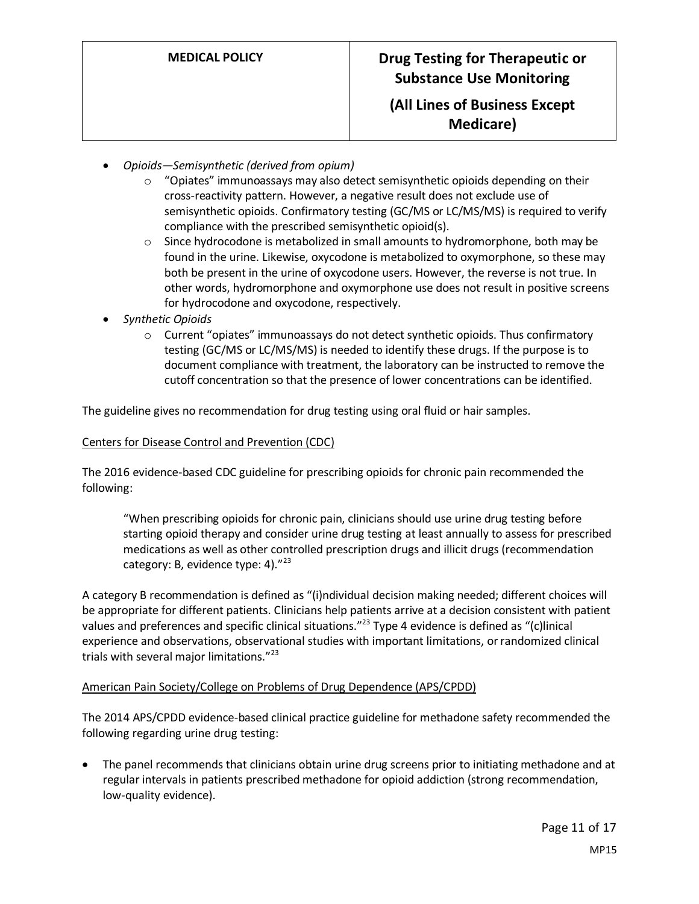- *Opioids—Semisynthetic (derived from opium)*
	- $\circ$  "Opiates" immunoassays may also detect semisynthetic opioids depending on their cross-reactivity pattern. However, a negative result does not exclude use of semisynthetic opioids. Confirmatory testing (GC/MS or LC/MS/MS) is required to verify compliance with the prescribed semisynthetic opioid(s).
	- o Since hydrocodone is metabolized in small amounts to hydromorphone, both may be found in the urine. Likewise, oxycodone is metabolized to oxymorphone, so these may both be present in the urine of oxycodone users. However, the reverse is not true. In other words, hydromorphone and oxymorphone use does not result in positive screens for hydrocodone and oxycodone, respectively.
- *Synthetic Opioids*
	- $\circ$  Current "opiates" immunoassays do not detect synthetic opioids. Thus confirmatory testing (GC/MS or LC/MS/MS) is needed to identify these drugs. If the purpose is to document compliance with treatment, the laboratory can be instructed to remove the cutoff concentration so that the presence of lower concentrations can be identified.

The guideline gives no recommendation for drug testing using oral fluid or hair samples.

#### Centers for Disease Control and Prevention (CDC)

The 2016 evidence-based CDC guideline for prescribing opioids for chronic pain recommended the following:

"When prescribing opioids for chronic pain, clinicians should use urine drug testing before starting opioid therapy and consider urine drug testing at least annually to assess for prescribed medications as well as other controlled prescription drugs and illicit drugs (recommendation category: B, evidence type: 4). $"^{23}$ 

A category B recommendation is defined as "(i)ndividual decision making needed; different choices will be appropriate for different patients. Clinicians help patients arrive at a decision consistent with patient values and preferences and specific clinical situations."<sup>23</sup> Type 4 evidence is defined as "(c)linical experience and observations, observational studies with important limitations, or randomized clinical trials with several major limitations."<sup>23</sup>

#### American Pain Society/College on Problems of Drug Dependence (APS/CPDD)

The 2014 APS/CPDD evidence-based clinical practice guideline for methadone safety recommended the following regarding urine drug testing:

• The panel recommends that clinicians obtain urine drug screens prior to initiating methadone and at regular intervals in patients prescribed methadone for opioid addiction (strong recommendation, low-quality evidence).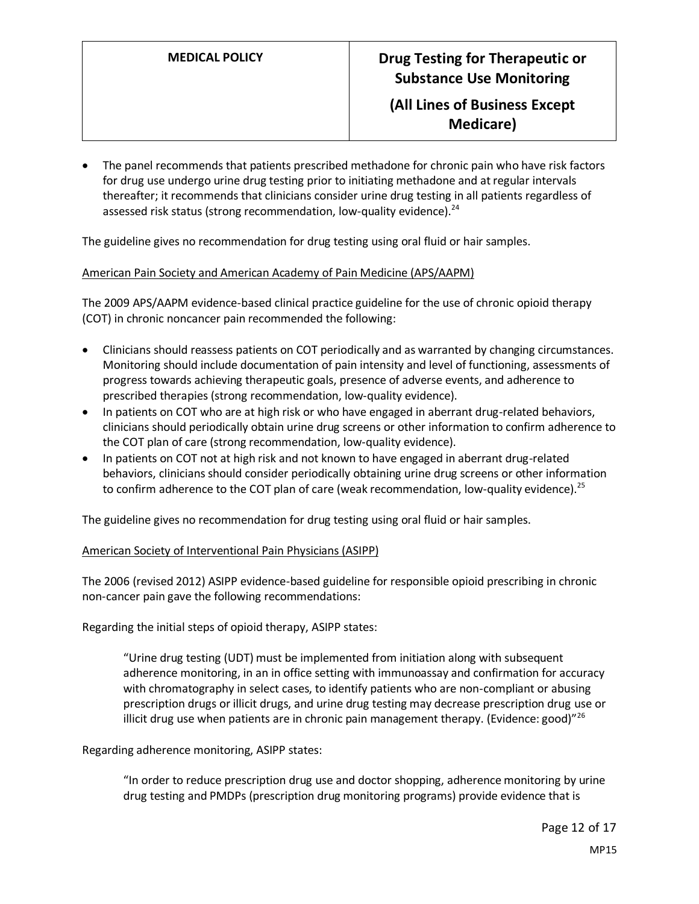**Medicare)**

• The panel recommends that patients prescribed methadone for chronic pain who have risk factors for drug use undergo urine drug testing prior to initiating methadone and at regular intervals thereafter; it recommends that clinicians consider urine drug testing in all patients regardless of assessed risk status (strong recommendation, low-quality evidence).<sup>24</sup>

The guideline gives no recommendation for drug testing using oral fluid or hair samples.

#### American Pain Society and American Academy of Pain Medicine (APS/AAPM)

The 2009 APS/AAPM evidence-based clinical practice guideline for the use of chronic opioid therapy (COT) in chronic noncancer pain recommended the following:

- Clinicians should reassess patients on COT periodically and as warranted by changing circumstances. Monitoring should include documentation of pain intensity and level of functioning, assessments of progress towards achieving therapeutic goals, presence of adverse events, and adherence to prescribed therapies (strong recommendation, low-quality evidence).
- In patients on COT who are at high risk or who have engaged in aberrant drug-related behaviors, clinicians should periodically obtain urine drug screens or other information to confirm adherence to the COT plan of care (strong recommendation, low-quality evidence).
- In patients on COT not at high risk and not known to have engaged in aberrant drug-related behaviors, clinicians should consider periodically obtaining urine drug screens or other information to confirm adherence to the COT plan of care (weak recommendation, low-quality evidence).<sup>25</sup>

The guideline gives no recommendation for drug testing using oral fluid or hair samples.

#### American Society of Interventional Pain Physicians (ASIPP)

The 2006 (revised 2012) ASIPP evidence-based guideline for responsible opioid prescribing in chronic non-cancer pain gave the following recommendations:

Regarding the initial steps of opioid therapy, ASIPP states:

"Urine drug testing (UDT) must be implemented from initiation along with subsequent adherence monitoring, in an in office setting with immunoassay and confirmation for accuracy with chromatography in select cases, to identify patients who are non-compliant or abusing prescription drugs or illicit drugs, and urine drug testing may decrease prescription drug use or illicit drug use when patients are in chronic pain management therapy. (Evidence: good) $^{\prime\prime\prime6}$ 

Regarding adherence monitoring, ASIPP states:

"In order to reduce prescription drug use and doctor shopping, adherence monitoring by urine drug testing and PMDPs (prescription drug monitoring programs) provide evidence that is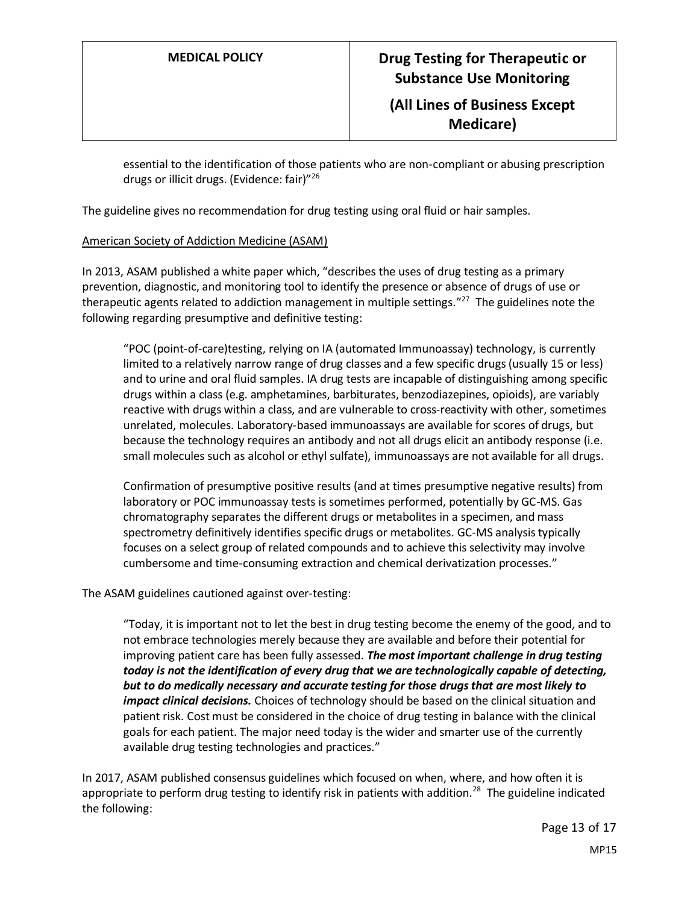essential to the identification of those patients who are non-compliant or abusing prescription drugs or illicit drugs. (Evidence: fair)"<sup>26</sup>

The guideline gives no recommendation for drug testing using oral fluid or hair samples.

#### American Society of Addiction Medicine (ASAM)

In 2013, ASAM published a white paper which, "describes the uses of drug testing as a primary prevention, diagnostic, and monitoring tool to identify the presence or absence of drugs of use or therapeutic agents related to addiction management in multiple settings."<sup>27</sup> The guidelines note the following regarding presumptive and definitive testing:

"POC (point-of-care)testing, relying on IA (automated Immunoassay) technology, is currently limited to a relatively narrow range of drug classes and a few specific drugs (usually 15 or less) and to urine and oral fluid samples. IA drug tests are incapable of distinguishing among specific drugs within a class (e.g. amphetamines, barbiturates, benzodiazepines, opioids), are variably reactive with drugs within a class, and are vulnerable to cross-reactivity with other, sometimes unrelated, molecules. Laboratory-based immunoassays are available for scores of drugs, but because the technology requires an antibody and not all drugs elicit an antibody response (i.e. small molecules such as alcohol or ethyl sulfate), immunoassays are not available for all drugs.

Confirmation of presumptive positive results (and at times presumptive negative results) from laboratory or POC immunoassay tests is sometimes performed, potentially by GC-MS. Gas chromatography separates the different drugs or metabolites in a specimen, and mass spectrometry definitively identifies specific drugs or metabolites. GC-MS analysis typically focuses on a select group of related compounds and to achieve this selectivity may involve cumbersome and time-consuming extraction and chemical derivatization processes."

The ASAM guidelines cautioned against over-testing:

"Today, it is important not to let the best in drug testing become the enemy of the good, and to not embrace technologies merely because they are available and before their potential for improving patient care has been fully assessed. *The most important challenge in drug testing today is not the identification of every drug that we are technologically capable of detecting, but to do medically necessary and accurate testing for those drugs that are most likely to impact clinical decisions.* Choices of technology should be based on the clinical situation and patient risk. Cost must be considered in the choice of drug testing in balance with the clinical goals for each patient. The major need today is the wider and smarter use of the currently available drug testing technologies and practices."

In 2017, ASAM published consensus guidelines which focused on when, where, and how often it is appropriate to perform drug testing to identify risk in patients with addition.<sup>28</sup> The guideline indicated the following: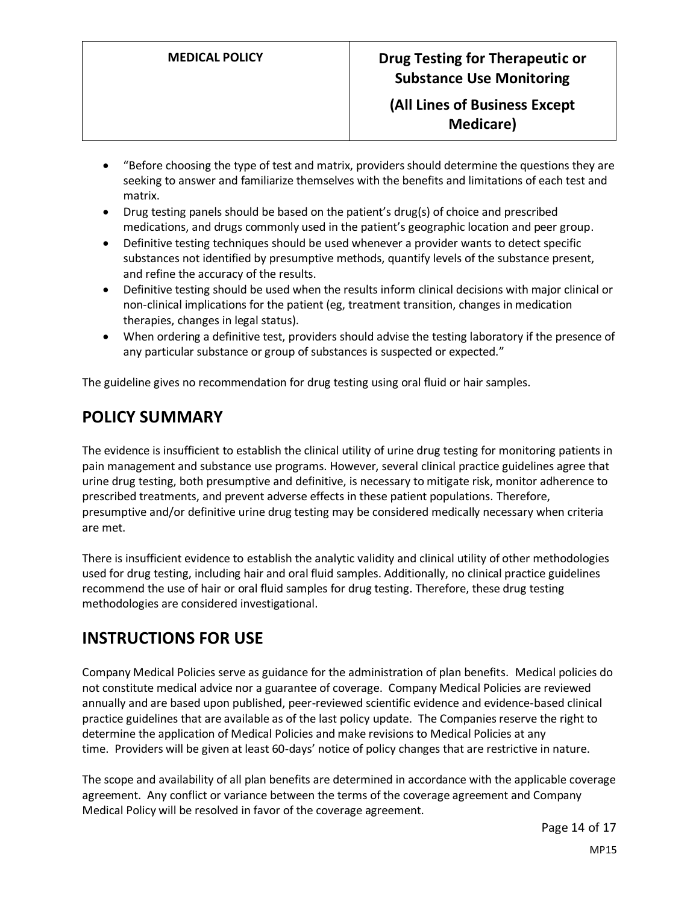**Medicare)**

- "Before choosing the type of test and matrix, providers should determine the questions they are seeking to answer and familiarize themselves with the benefits and limitations of each test and matrix.
- Drug testing panels should be based on the patient's drug(s) of choice and prescribed medications, and drugs commonly used in the patient's geographic location and peer group.
- Definitive testing techniques should be used whenever a provider wants to detect specific substances not identified by presumptive methods, quantify levels of the substance present, and refine the accuracy of the results.
- Definitive testing should be used when the results inform clinical decisions with major clinical or non-clinical implications for the patient (eg, treatment transition, changes in medication therapies, changes in legal status).
- When ordering a definitive test, providers should advise the testing laboratory if the presence of any particular substance or group of substances is suspected or expected."

The guideline gives no recommendation for drug testing using oral fluid or hair samples.

# **POLICY SUMMARY**

The evidence is insufficient to establish the clinical utility of urine drug testing for monitoring patients in pain management and substance use programs. However, several clinical practice guidelines agree that urine drug testing, both presumptive and definitive, is necessary to mitigate risk, monitor adherence to prescribed treatments, and prevent adverse effects in these patient populations. Therefore, presumptive and/or definitive urine drug testing may be considered medically necessary when criteria are met.

<span id="page-13-0"></span>There is insufficient evidence to establish the analytic validity and clinical utility of other methodologies used for drug testing, including hair and oral fluid samples. Additionally, no clinical practice guidelines recommend the use of hair or oral fluid samples for drug testing. Therefore, these drug testing methodologies are considered investigational.

# **INSTRUCTIONS FOR USE**

Company Medical Policies serve as guidance for the administration of plan benefits. Medical policies do not constitute medical advice nor a guarantee of coverage. Company Medical Policies are reviewed annually and are based upon published, peer-reviewed scientific evidence and evidence-based clinical practice guidelines that are available as of the last policy update. The Companies reserve the right to determine the application of Medical Policies and make revisions to Medical Policies at any time. Providers will be given at least 60-days' notice of policy changes that are restrictive in nature.

The scope and availability of all plan benefits are determined in accordance with the applicable coverage agreement. Any conflict or variance between the terms of the coverage agreement and Company Medical Policy will be resolved in favor of the coverage agreement.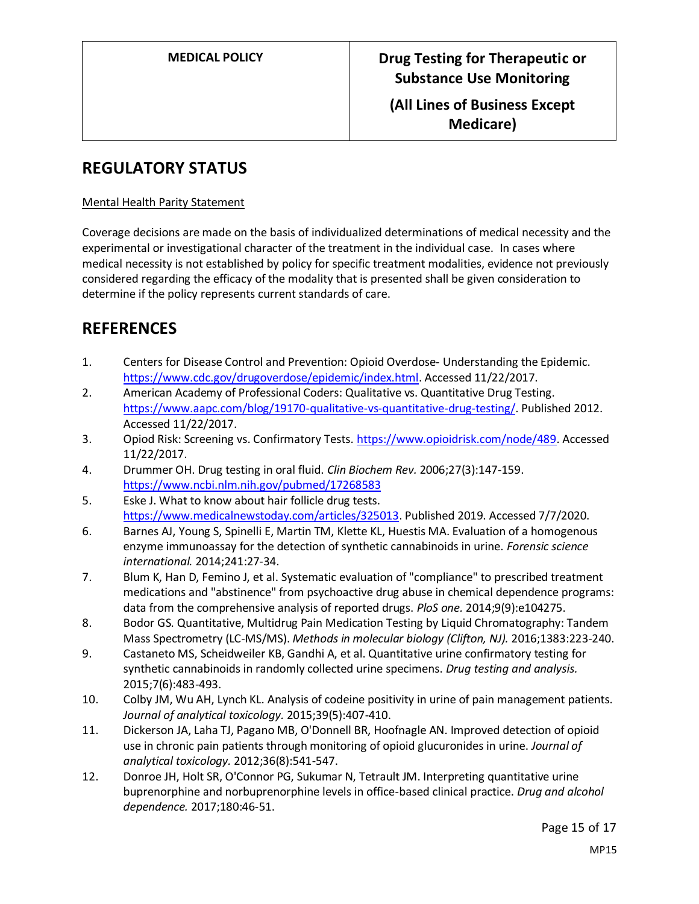**Medicare)**

## **REGULATORY STATUS**

#### Mental Health Parity Statement

Coverage decisions are made on the basis of individualized determinations of medical necessity and the experimental or investigational character of the treatment in the individual case. In cases where medical necessity is not established by policy for specific treatment modalities, evidence not previously considered regarding the efficacy of the modality that is presented shall be given consideration to determine if the policy represents current standards of care.

## **REFERENCES**

- 1. Centers for Disease Control and Prevention: Opioid Overdose- Understanding the Epidemic. [https://www.cdc.gov/drugoverdose/epidemic/index.html.](https://www.cdc.gov/drugoverdose/epidemic/index.html) Accessed 11/22/2017.
- 2. American Academy of Professional Coders: Qualitative vs. Quantitative Drug Testing. [https://www.aapc.com/blog/19170-qualitative-vs-quantitative-drug-testing/.](https://www.aapc.com/blog/19170-qualitative-vs-quantitative-drug-testing/) Published 2012. Accessed 11/22/2017.
- 3. Opiod Risk: Screening vs. Confirmatory Tests. [https://www.opioidrisk.com/node/489.](https://www.opioidrisk.com/node/489) Accessed 11/22/2017.
- 4. Drummer OH. Drug testing in oral fluid. *Clin Biochem Rev.* 2006;27(3):147-159. <https://www.ncbi.nlm.nih.gov/pubmed/17268583>
- 5. Eske J. What to know about hair follicle drug tests. [https://www.medicalnewstoday.com/articles/325013.](https://www.medicalnewstoday.com/articles/325013) Published 2019. Accessed 7/7/2020.
- 6. Barnes AJ, Young S, Spinelli E, Martin TM, Klette KL, Huestis MA. Evaluation of a homogenous enzyme immunoassay for the detection of synthetic cannabinoids in urine. *Forensic science international.* 2014;241:27-34.
- 7. Blum K, Han D, Femino J, et al. Systematic evaluation of "compliance" to prescribed treatment medications and "abstinence" from psychoactive drug abuse in chemical dependence programs: data from the comprehensive analysis of reported drugs. *PloS one.* 2014;9(9):e104275.
- 8. Bodor GS. Quantitative, Multidrug Pain Medication Testing by Liquid Chromatography: Tandem Mass Spectrometry (LC-MS/MS). *Methods in molecular biology (Clifton, NJ).* 2016;1383:223-240.
- 9. Castaneto MS, Scheidweiler KB, Gandhi A, et al. Quantitative urine confirmatory testing for synthetic cannabinoids in randomly collected urine specimens. *Drug testing and analysis.*  2015;7(6):483-493.
- 10. Colby JM, Wu AH, Lynch KL. Analysis of codeine positivity in urine of pain management patients. *Journal of analytical toxicology.* 2015;39(5):407-410.
- 11. Dickerson JA, Laha TJ, Pagano MB, O'Donnell BR, Hoofnagle AN. Improved detection of opioid use in chronic pain patients through monitoring of opioid glucuronides in urine. *Journal of analytical toxicology.* 2012;36(8):541-547.
- 12. Donroe JH, Holt SR, O'Connor PG, Sukumar N, Tetrault JM. Interpreting quantitative urine buprenorphine and norbuprenorphine levels in office-based clinical practice. *Drug and alcohol dependence.* 2017;180:46-51.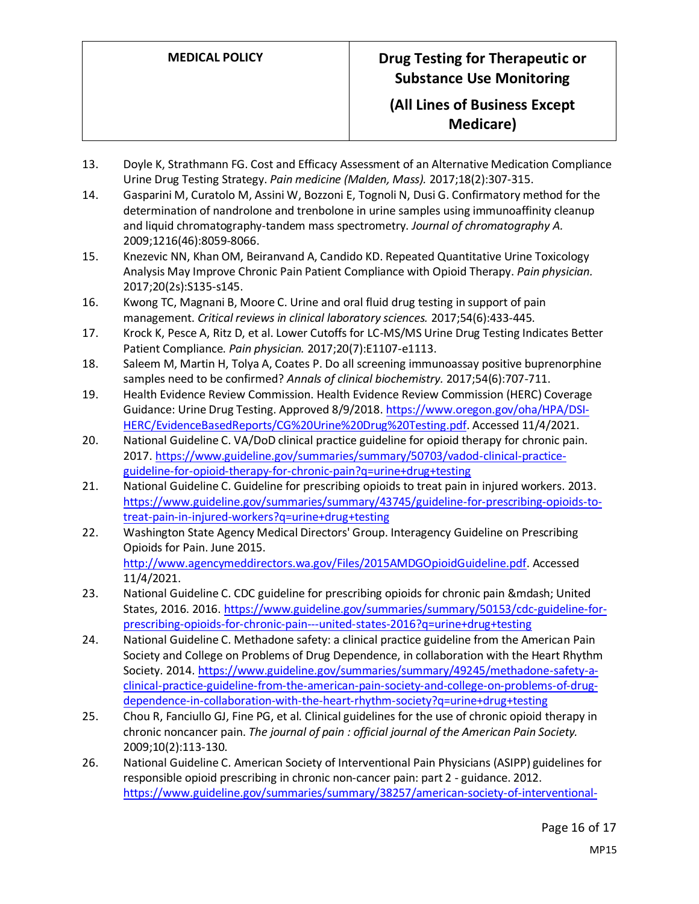- 13. Doyle K, Strathmann FG. Cost and Efficacy Assessment of an Alternative Medication Compliance Urine Drug Testing Strategy. *Pain medicine (Malden, Mass).* 2017;18(2):307-315.
- 14. Gasparini M, Curatolo M, Assini W, Bozzoni E, Tognoli N, Dusi G. Confirmatory method for the determination of nandrolone and trenbolone in urine samples using immunoaffinity cleanup and liquid chromatography-tandem mass spectrometry. *Journal of chromatography A.*  2009;1216(46):8059-8066.
- 15. Knezevic NN, Khan OM, Beiranvand A, Candido KD. Repeated Quantitative Urine Toxicology Analysis May Improve Chronic Pain Patient Compliance with Opioid Therapy. *Pain physician.*  2017;20(2s):S135-s145.
- 16. Kwong TC, Magnani B, Moore C. Urine and oral fluid drug testing in support of pain management. *Critical reviews in clinical laboratory sciences.* 2017;54(6):433-445.
- 17. Krock K, Pesce A, Ritz D, et al. Lower Cutoffs for LC-MS/MS Urine Drug Testing Indicates Better Patient Compliance. *Pain physician.* 2017;20(7):E1107-e1113.
- 18. Saleem M, Martin H, Tolya A, Coates P. Do all screening immunoassay positive buprenorphine samples need to be confirmed? *Annals of clinical biochemistry.* 2017;54(6):707-711.
- 19. Health Evidence Review Commission. Health Evidence Review Commission (HERC) Coverage Guidance: Urine Drug Testing. Approved 8/9/2018. [https://www.oregon.gov/oha/HPA/DSI-](https://www.oregon.gov/oha/HPA/DSI-HERC/EvidenceBasedReports/CG%20Urine%20Drug%20Testing.pdf)[HERC/EvidenceBasedReports/CG%20Urine%20Drug%20Testing.pdf.](https://www.oregon.gov/oha/HPA/DSI-HERC/EvidenceBasedReports/CG%20Urine%20Drug%20Testing.pdf) Accessed 11/4/2021.
- 20. National Guideline C. VA/DoD clinical practice guideline for opioid therapy for chronic pain. 2017[. https://www.guideline.gov/summaries/summary/50703/vadod-clinical-practice](https://www.guideline.gov/summaries/summary/50703/vadod-clinical-practice-guideline-for-opioid-therapy-for-chronic-pain?q=urine+drug+testing)[guideline-for-opioid-therapy-for-chronic-pain?q=urine+drug+testing](https://www.guideline.gov/summaries/summary/50703/vadod-clinical-practice-guideline-for-opioid-therapy-for-chronic-pain?q=urine+drug+testing)
- 21. National Guideline C. Guideline for prescribing opioids to treat pain in injured workers. 2013. [https://www.guideline.gov/summaries/summary/43745/guideline-for-prescribing-opioids-to](https://www.guideline.gov/summaries/summary/43745/guideline-for-prescribing-opioids-to-treat-pain-in-injured-workers?q=urine+drug+testing)[treat-pain-in-injured-workers?q=urine+drug+testing](https://www.guideline.gov/summaries/summary/43745/guideline-for-prescribing-opioids-to-treat-pain-in-injured-workers?q=urine+drug+testing)
- 22. Washington State Agency Medical Directors' Group. Interagency Guideline on Prescribing Opioids for Pain. June 2015. [http://www.agencymeddirectors.wa.gov/Files/2015AMDGOpioidGuideline.pdf.](http://www.agencymeddirectors.wa.gov/Files/2015AMDGOpioidGuideline.pdf) Accessed 11/4/2021.
- 23. National Guideline C. CDC guideline for prescribing opioids for chronic pain & mdash; United States, 2016. 2016. [https://www.guideline.gov/summaries/summary/50153/cdc-guideline-for](https://www.guideline.gov/summaries/summary/50153/cdc-guideline-for-prescribing-opioids-for-chronic-pain---united-states-2016?q=urine+drug+testing)[prescribing-opioids-for-chronic-pain---united-states-2016?q=urine+drug+testing](https://www.guideline.gov/summaries/summary/50153/cdc-guideline-for-prescribing-opioids-for-chronic-pain---united-states-2016?q=urine+drug+testing)
- 24. National Guideline C. Methadone safety: a clinical practice guideline from the American Pain Society and College on Problems of Drug Dependence, in collaboration with the Heart Rhythm Society. 2014. [https://www.guideline.gov/summaries/summary/49245/methadone-safety-a](https://www.guideline.gov/summaries/summary/49245/methadone-safety-a-clinical-practice-guideline-from-the-american-pain-society-and-college-on-problems-of-drug-dependence-in-collaboration-with-the-heart-rhythm-society?q=urine+drug+testing)[clinical-practice-guideline-from-the-american-pain-society-and-college-on-problems-of-drug](https://www.guideline.gov/summaries/summary/49245/methadone-safety-a-clinical-practice-guideline-from-the-american-pain-society-and-college-on-problems-of-drug-dependence-in-collaboration-with-the-heart-rhythm-society?q=urine+drug+testing)[dependence-in-collaboration-with-the-heart-rhythm-society?q=urine+drug+testing](https://www.guideline.gov/summaries/summary/49245/methadone-safety-a-clinical-practice-guideline-from-the-american-pain-society-and-college-on-problems-of-drug-dependence-in-collaboration-with-the-heart-rhythm-society?q=urine+drug+testing)
- 25. Chou R, Fanciullo GJ, Fine PG, et al. Clinical guidelines for the use of chronic opioid therapy in chronic noncancer pain. *The journal of pain : official journal of the American Pain Society.*  2009;10(2):113-130.
- 26. National Guideline C. American Society of Interventional Pain Physicians (ASIPP) guidelines for responsible opioid prescribing in chronic non-cancer pain: part 2 - guidance. 2012. [https://www.guideline.gov/summaries/summary/38257/american-society-of-interventional-](https://www.guideline.gov/summaries/summary/38257/american-society-of-interventional-pain-physicians-asipp-guidelines-for-responsible-opioid-prescribing-in-chronic-noncancer-pain-part-2--guidance?q=urine+drug+testing)